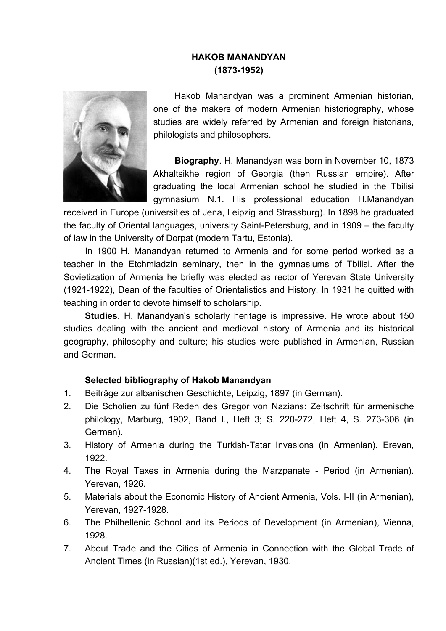## **HAKOB MANANDYAN (1873-1952)**



Hakob Manandyan was a prominent Armenian historian, one of the makers of modern Armenian historiography, whose studies are widely referred by Armenian and foreign historians, philologists and philosophers.

**Biography**. H. Manandyan was born in November 10, 1873 Akhaltsikhe region of Georgia (then Russian empire). After graduating the local Armenian school he studied in the Tbilisi gymnasium N.1. His professional education H.Manandyan

received in Europe (universities of Jena, Leipzig and Strassburg). In 1898 he graduated the faculty of Oriental languages, university Saint-Petersburg, and in 1909 – the faculty of law in the University of Dorpat (modern Tartu, Estonia).

In 1900 H. Manandyan returned to Armenia and for some period worked as a teacher in the Etchmiadzin seminary, then in the gymnasiums of Tbilisi. After the Sovietization of Armenia he briefly was elected as rector of Yerevan State University (1921-1922), Dean of the faculties of Orientalistics and History. In 1931 he quitted with teaching in order to devote himself to scholarship.

**Studies**. H. Manandyan's scholarly heritage is impressive. He wrote about 150 studies dealing with the ancient and medieval history of Armenia and its historical geography, philosophy and culture; his studies were published in Armenian, Russian and German.

## **Selected bibliography of Hakob Manandyan**

- 1. Beiträge zur albanischen Geschichte, Leipzig, 1897 (in German).
- 2. Die Scholien zu fünf Reden des Gregor von Nazians: Zeitschrift für armenische philology, Marburg, 1902, Band I., Heft 3; S. 220-272, Heft 4, S. 273-306 (in German).
- 3. History of Armenia during the Turkish-Tatar Invasions (in Armenian). Erevan, 1922.
- 4. The Royal Taxes in Armenia during the Marzpanate Period (in Armenian). Yerevan, 1926.
- 5. Materials about the Economic History of Ancient Armenia, Vols. I-II (in Armenian), Yerevan, 1927-1928.
- 6. The Philhellenic School and its Periods of Development (in Armenian), Vienna, 1928.
- 7. About Trade and the Cities of Armenia in Connection with the Global Trade of Ancient Times (in Russian)(1st ed.), Yerevan, 1930.